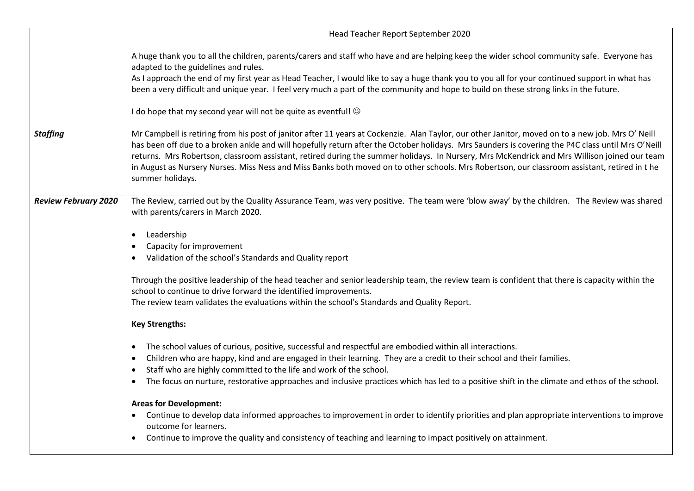|                             | Head Teacher Report September 2020                                                                                                                                                                                                                                                                                                                                                                                                                                                                                                                                                                                                                                                                                                                                                                                                                                                                                                                                                                                                                                                                                                                                                                                                                                                                                                                                                                                                                                         |
|-----------------------------|----------------------------------------------------------------------------------------------------------------------------------------------------------------------------------------------------------------------------------------------------------------------------------------------------------------------------------------------------------------------------------------------------------------------------------------------------------------------------------------------------------------------------------------------------------------------------------------------------------------------------------------------------------------------------------------------------------------------------------------------------------------------------------------------------------------------------------------------------------------------------------------------------------------------------------------------------------------------------------------------------------------------------------------------------------------------------------------------------------------------------------------------------------------------------------------------------------------------------------------------------------------------------------------------------------------------------------------------------------------------------------------------------------------------------------------------------------------------------|
|                             | A huge thank you to all the children, parents/carers and staff who have and are helping keep the wider school community safe. Everyone has<br>adapted to the guidelines and rules.<br>As I approach the end of my first year as Head Teacher, I would like to say a huge thank you to you all for your continued support in what has<br>been a very difficult and unique year. I feel very much a part of the community and hope to build on these strong links in the future.<br>I do hope that my second year will not be quite as eventful! ©                                                                                                                                                                                                                                                                                                                                                                                                                                                                                                                                                                                                                                                                                                                                                                                                                                                                                                                           |
| <b>Staffing</b>             | Mr Campbell is retiring from his post of janitor after 11 years at Cockenzie. Alan Taylor, our other Janitor, moved on to a new job. Mrs O' Neill<br>has been off due to a broken ankle and will hopefully return after the October holidays. Mrs Saunders is covering the P4C class until Mrs O'Neill<br>returns. Mrs Robertson, classroom assistant, retired during the summer holidays. In Nursery, Mrs McKendrick and Mrs Willison joined our team<br>in August as Nursery Nurses. Miss Ness and Miss Banks both moved on to other schools. Mrs Robertson, our classroom assistant, retired in the<br>summer holidays.                                                                                                                                                                                                                                                                                                                                                                                                                                                                                                                                                                                                                                                                                                                                                                                                                                                 |
| <b>Review February 2020</b> | The Review, carried out by the Quality Assurance Team, was very positive. The team were 'blow away' by the children. The Review was shared<br>with parents/carers in March 2020.<br>Leadership<br>$\bullet$<br>Capacity for improvement<br>Validation of the school's Standards and Quality report<br>Through the positive leadership of the head teacher and senior leadership team, the review team is confident that there is capacity within the<br>school to continue to drive forward the identified improvements.<br>The review team validates the evaluations within the school's Standards and Quality Report.<br><b>Key Strengths:</b><br>The school values of curious, positive, successful and respectful are embodied within all interactions.<br>Children who are happy, kind and are engaged in their learning. They are a credit to their school and their families.<br>$\bullet$<br>Staff who are highly committed to the life and work of the school.<br>$\bullet$<br>The focus on nurture, restorative approaches and inclusive practices which has led to a positive shift in the climate and ethos of the school.<br>$\bullet$<br><b>Areas for Development:</b><br>Continue to develop data informed approaches to improvement in order to identify priorities and plan appropriate interventions to improve<br>outcome for learners.<br>Continue to improve the quality and consistency of teaching and learning to impact positively on attainment. |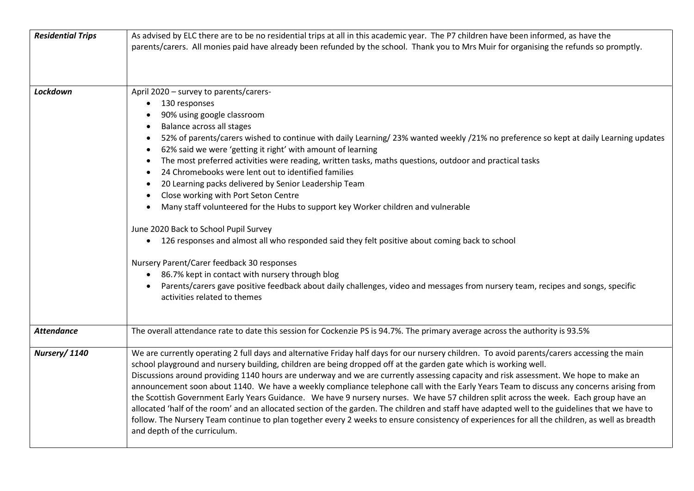| <b>Residential Trips</b> | As advised by ELC there are to be no residential trips at all in this academic year. The P7 children have been informed, as have the                                                                                                                             |
|--------------------------|------------------------------------------------------------------------------------------------------------------------------------------------------------------------------------------------------------------------------------------------------------------|
|                          | parents/carers. All monies paid have already been refunded by the school. Thank you to Mrs Muir for organising the refunds so promptly.                                                                                                                          |
|                          |                                                                                                                                                                                                                                                                  |
|                          |                                                                                                                                                                                                                                                                  |
|                          |                                                                                                                                                                                                                                                                  |
| Lockdown                 | April 2020 - survey to parents/carers-                                                                                                                                                                                                                           |
|                          | 130 responses                                                                                                                                                                                                                                                    |
|                          | 90% using google classroom                                                                                                                                                                                                                                       |
|                          | Balance across all stages                                                                                                                                                                                                                                        |
|                          | 52% of parents/carers wished to continue with daily Learning/23% wanted weekly /21% no preference so kept at daily Learning updates<br>$\bullet$<br>62% said we were 'getting it right' with amount of learning<br>$\bullet$                                     |
|                          | The most preferred activities were reading, written tasks, maths questions, outdoor and practical tasks<br>$\bullet$                                                                                                                                             |
|                          | 24 Chromebooks were lent out to identified families<br>$\bullet$                                                                                                                                                                                                 |
|                          | 20 Learning packs delivered by Senior Leadership Team<br>$\bullet$                                                                                                                                                                                               |
|                          | Close working with Port Seton Centre<br>$\bullet$                                                                                                                                                                                                                |
|                          | Many staff volunteered for the Hubs to support key Worker children and vulnerable                                                                                                                                                                                |
|                          |                                                                                                                                                                                                                                                                  |
|                          | June 2020 Back to School Pupil Survey                                                                                                                                                                                                                            |
|                          | 126 responses and almost all who responded said they felt positive about coming back to school<br>$\bullet$                                                                                                                                                      |
|                          |                                                                                                                                                                                                                                                                  |
|                          | Nursery Parent/Carer feedback 30 responses                                                                                                                                                                                                                       |
|                          | 86.7% kept in contact with nursery through blog                                                                                                                                                                                                                  |
|                          | Parents/carers gave positive feedback about daily challenges, video and messages from nursery team, recipes and songs, specific                                                                                                                                  |
|                          | activities related to themes                                                                                                                                                                                                                                     |
|                          |                                                                                                                                                                                                                                                                  |
|                          |                                                                                                                                                                                                                                                                  |
| <b>Attendance</b>        | The overall attendance rate to date this session for Cockenzie PS is 94.7%. The primary average across the authority is 93.5%                                                                                                                                    |
|                          |                                                                                                                                                                                                                                                                  |
| Nursery/1140             | We are currently operating 2 full days and alternative Friday half days for our nursery children. To avoid parents/carers accessing the main<br>school playground and nursery building, children are being dropped off at the garden gate which is working well. |
|                          | Discussions around providing 1140 hours are underway and we are currently assessing capacity and risk assessment. We hope to make an                                                                                                                             |
|                          | announcement soon about 1140. We have a weekly compliance telephone call with the Early Years Team to discuss any concerns arising from                                                                                                                          |
|                          | the Scottish Government Early Years Guidance. We have 9 nursery nurses. We have 57 children split across the week. Each group have an                                                                                                                            |
|                          | allocated 'half of the room' and an allocated section of the garden. The children and staff have adapted well to the guidelines that we have to                                                                                                                  |
|                          | follow. The Nursery Team continue to plan together every 2 weeks to ensure consistency of experiences for all the children, as well as breadth                                                                                                                   |
|                          | and depth of the curriculum.                                                                                                                                                                                                                                     |
|                          |                                                                                                                                                                                                                                                                  |